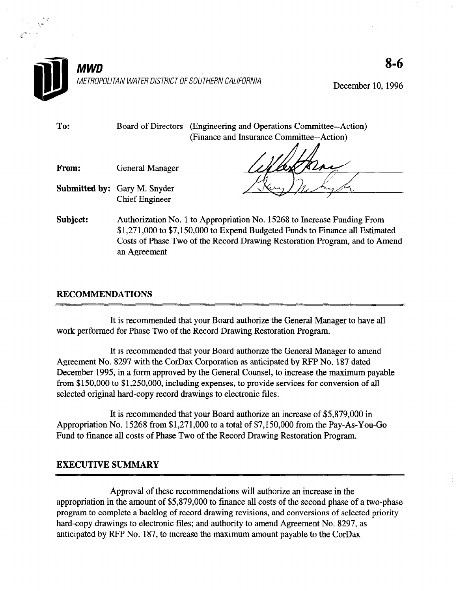

December 10, 1996

S-6

To: Board of Directors (Engineering and Operations Committee--Action) (Finance and Insurance Committee--Action)

From: General Manager

Submitted by: Gary M. Snyder Chief Engineer

Subject: Authorization No. 1 to Appropriation No. 15268 to Increase Funding From \$1,27 1,000 to \$7,150,000 to Expend Budgeted Funds to Finance all Estimated Costs of Phase Two of the Record Drawing Restoration Program, and to Amend an Agreement

## RECOMMENDATIONS

It is recommended that your Board authorize the General Manager to have all which performance that you board additional the Central Mal

It is recommented that your board addition the General Manager to ante Agreement No. 8297 with the CorDax Corporation as anticipated by RFP No. 187 dated December 1995, in a form approved by the General Counsel, to increase the maximum payable from \$150,000 to \$1,250,000, including expenses, to provide services for conversion of all selected original hard-copy record drawings to electronic files.

It is recommended that your Board authorize an increase of \$5,879,000 in Appropriation No. 15268 from  $$1,271,000$  to a total of  $$7,150,000$  from the Pay-As-You-Go Fund to finance all costs of Phase Two of the Record Drawing Restoration Program.

## **EXECUTIVE SUMMARY**

Approval of these recommendations will authorize an increase in the appropriation in the amount of \$5,879,000 to finance all costs of the second phase of a two-phase program to complete a backlog of record drawing revisions, and conversions of selected priority hard-copy drawings to electronic files; and authority to amend Agreement No. 8297, as anticipated by RFP No. 187, to increase the maximum amount payable to the CorDax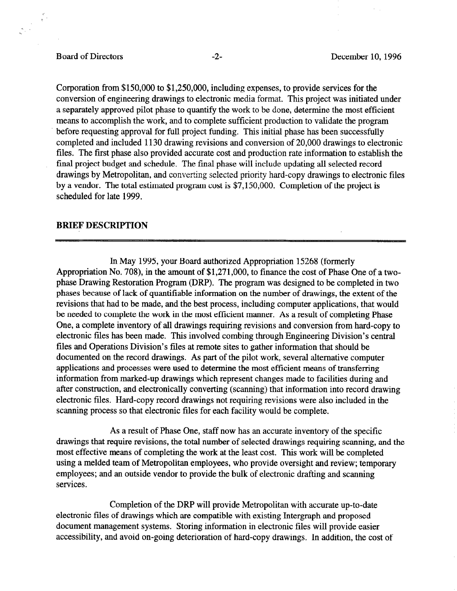## Board of Directors -2- December 10, 1996

Corporation from \$150,000 to \$1,250,000, including expenses, to provide services for the conversion of engineering drawings to electronic media format. This project was initiated under a separately approved pilot phase to quantify the work to be done, determine the most efficient means to accomplish the work, and to complete sufficient production to validate the program before requesting approval for full project funding. This initial phase has been successfully completed and included 1130 drawing revisions and conversion of 20,000 drawings to electronic files. The first phase also provided accurate cost and production rate information to establish the final project budget and schedule. The final phase will include updating all selected record drawings by Metropolitan, and converting selected priority hard-copy drawings to electronic files by a vendor. The total estimated program cost is \$7,150,000. Completion of the project is scheduled for late 1999.

## **BRIEF DESCRIPTION**

In May 1995, your Board authorized Appropriation 15268 (formerly Appropriation No, 708), in the amount of \$1,271,000, to finance the cost of Phase One of a twophase Drawing Restoration Program (DRP). The program was designed to be completed in two phases because of lack of quantifiable information on the number of drawings, the extent of the revisions that had to be made, and the best process, including computer applications, that would be needed to complete the work in the most efficient manner. As a result of completing Phase One, a complete inventory of all drawings requiring revisions and conversion from hard-copy to electronic files has been made. This involved combing through Engineering Division's central files and Operations Division's files at remote sites to gather information that should be documented on the record drawings. As part of the pilot work, several alternative computer applications and processes were used to determine the most efficient means of transferring information from marked-up drawings which represent changes made to facilities during and after construction, and electronically converting (scanning) that information into record drawing electronic files. Hard-copy record drawings not requiring revisions were also included in the scanning process so that electronic files for each facility would be complete.

As a result of Phase One, staff now has an accurate inventory of the specific drawings that require revisions, the total number of selected drawings requiring scanning, and the most effective means of completing the work at the least cost. This work will be completed using a melded team of Metropolitan employees, who provide oversight and review; temporary employees; and an outside vendor to provide the bulk of electronic drafting and scanning services.

Completion of the DRP will provide Metropolitan with accurate up-to-date electronic files of drawings which are compatible with existing Intergraph and proposed document management systems. Storing information in electronic files will provide easier accessibility, and avoid on-going deterioration of hard-copy drawings. In addition, the cost of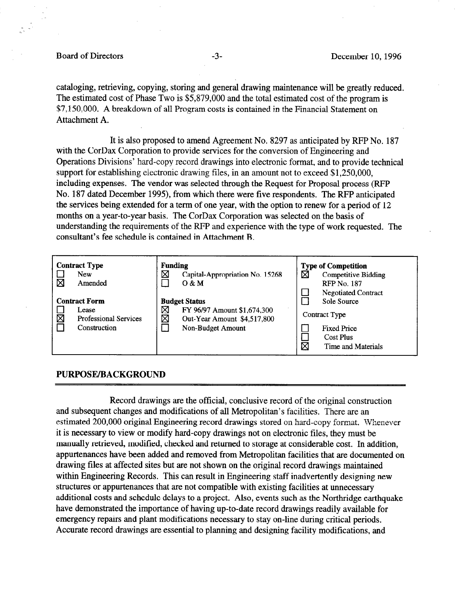#### Board of Directors -3- December 10, 1996

cataloging, retrieving, copying, storing and general drawing maintenance will be greatly reduced. The estimated cost of Phase Two is \$5,879,000 and the total estimated cost of the program is \$7,150,000. A breakdown of all Program costs is contained in the Financial Statement on Attachment A.

It is also proposed to amend Agreement No. 8297 as anticipated by RFP No. 187 with the CorDax Corporation to provide services for the conversion of Engineering and Operations Divisions' hard-copy record drawings into electronic format, and to provide technical support for establishing electronic drawing files, in an amount not to exceed \$1,250,000, including expenses. The vendor was selected through the Request for Proposal process (RFP No. 187 dated December 1995), from which there were five respondents. The RFP anticipated the services being extended for a term of one year, with the option to renew for a period of 12 months on a year-to-year basis. The CorDax Corporation was selected on the basis of understanding the requirements of the RFP and experience with the type of work requested. The consultant's fee schedule is contained in Attachment B.

| <b>Contract Type</b><br><b>New</b><br>Amended |                                                                               | Funding<br>⊠<br>Capital-Appropriation No. 15268<br>O & M |                                                                                                         | <b>Type of Competition</b><br>⊠<br>Competitive Bidding<br><b>RFP</b> No. 187<br><b>Negotiated Contract</b> |                                                                                              |
|-----------------------------------------------|-------------------------------------------------------------------------------|----------------------------------------------------------|---------------------------------------------------------------------------------------------------------|------------------------------------------------------------------------------------------------------------|----------------------------------------------------------------------------------------------|
| Σ                                             | <b>Contract Form</b><br>Lease<br><b>Professional Services</b><br>Construction | ⊠<br>区                                                   | <b>Budget Status</b><br>FY 96/97 Amount \$1,674,300<br>Out-Year Amount \$4,517,800<br>Non-Budget Amount | R                                                                                                          | Sole Source<br>Contract Type<br><b>Fixed Price</b><br><b>Cost Plus</b><br>Time and Materials |

## PURPOSE/BACKGROUND

Record drawings are the official, conclusive record of the original construction and subsequent changes and modifications of all Metropolitan's facilities. There are an estimated 200,000 original Engineering record drawings stored on hard-copy format. Whenever it is necessary to view or modify hard-copy drawings not on electronic files, they must be manually retrieved, modified, checked and returned to storage at considerable cost. In addition, appurtenances have been added and removed from Metropolitan facilities that are documented on drawing files at affected sites but are not shown on the original record drawings maintained within Engineering Records. This can result in Engineering staff inadvertently designing new structures or appurtenances that are not compatible with existing facilities at unnecessary additional costs and schedule delays to a project. Also, events such as the Northridge earthquake have demonstrated the importance of having up-to-date record drawings readily available for emergency repairs and plant modifications necessary to stay on-line during critical periods. Accurate record drawings are essential to planning and designing facility modifications, and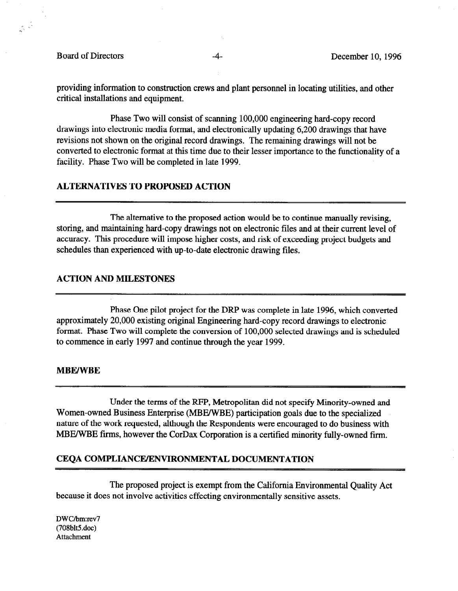Board of Directors -4- December 10, 1996

 $\begin{pmatrix} 0 & 0 \\ 0 & 0 \\ 0 & 0 \end{pmatrix}$ 

providing information to construction crews and plant personnel in locating utilities, and other critical installations and equipment.

Phase Two will consist of scanning 100,000 engineering hard-copy record drawings into electronic media format, and electronically updating 6,200 drawings that have revisions not shown on the original record drawings. The remaining drawings will not be converted to electronic format at this time due to their lesser importance to the functionality of a facility. Phase Two will be completed in late 1999.

## ALTERNATIVES TO PROPOSED ACTION

The alternative to the proposed action would be to continue manually revising, storing, and maintaining hard-copy drawings not on electronic files and at their current level of accuracy. This procedure will impose higher costs, and risk of exceeding project budgets and schedules than experienced with up-to-date electronic drawing files.

## ACTION AND MILESTONES

Phase One pilot project for the DRP was complete in late 1996, which converted approximately 20,000 existing original Engineering hard-copy record drawings to electronic format. Phase Two will complete the conversion of 100,000 selected drawings and is scheduled to commence in early 1997 and continue through the year 1999.

#### MBE/WBE

Under the terms of the RPP, Metropolitan did not specify Minority-owned and Women-owned Business Enterprise (MBE/WBE) participation goals due to the specialized nature of the work requested, although the Respondents were encouraged to do business with MBE/WBE firms, however the CorDax Corporation is a certified minority fully-owned firm.

#### CEQA COMPLIANCEJENVIRONMENTAL DOCUMENTATION

The proposed project is exempt from the California Environmental Quality Act because it does not involve activities effecting environmentally sensitive assets.

DWC/bm:rev7  $(708blt5.doc)$ Attachment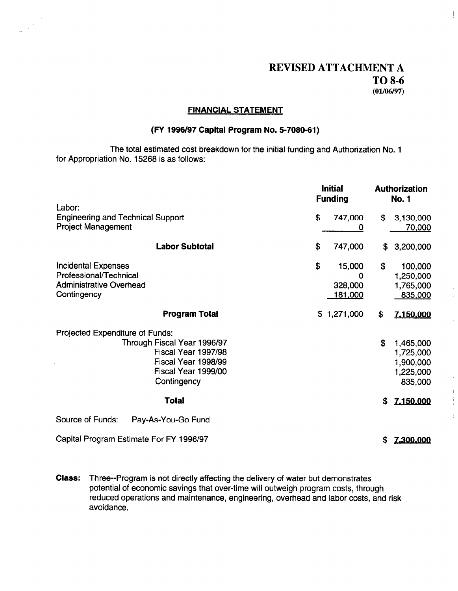## REVISED ATTACHMENT A TO 8-6  $(01/06/97)$

 $^{\prime}$  . [

#### FINANCIAL STATEMENT

## (FY 1996/97 Capital Program No. 6-7080-61)

The total estimated cost breakdown for the initial funding and Authorization No. 1 for Appropriation No. 15268 is as follows:

|                                                                                                                                                    | <b>Initial</b><br><b>Funding</b>                         | <b>Authorization</b><br><b>No. 1</b>                              |
|----------------------------------------------------------------------------------------------------------------------------------------------------|----------------------------------------------------------|-------------------------------------------------------------------|
| Labor:<br><b>Engineering and Technical Support</b><br><b>Project Management</b>                                                                    | \$<br>747,000<br>0                                       | \$<br>3,130,000<br><u>70,000</u>                                  |
| <b>Labor Subtotal</b>                                                                                                                              | \$<br>747,000                                            | 3,200,000<br>\$                                                   |
| <b>Incidental Expenses</b><br>Professional/Technical<br><b>Administrative Overhead</b><br>Contingency                                              | \$<br>15,000<br>$\mathbf 0$<br>328,000<br><u>181,000</u> | \$<br>100,000<br>1,250,000<br>1,765,000<br>835,000                |
| <b>Program Total</b>                                                                                                                               | \$1,271,000                                              | \$<br><u>7.150,000</u>                                            |
| Projected Expenditure of Funds:<br>Through Fiscal Year 1996/97<br>Fiscal Year 1997/98<br>Fiscal Year 1998/99<br>Fiscal Year 1999/00<br>Contingency |                                                          | \$<br>1,465,000<br>1,725,000<br>1,900,000<br>1,225,000<br>835,000 |
| <b>Total</b>                                                                                                                                       |                                                          | 7.150.000<br>\$                                                   |
| Source of Funds:<br>Pay-As-You-Go Fund                                                                                                             |                                                          |                                                                   |
| Capital Program Estimate For FY 1996/97                                                                                                            |                                                          | \$<br>7,300,000                                                   |

Class: Three--Program is not directly affecting the delivery of water but demonstrates potential of economic savings that over-time will outweigh program costs, through reduced operations and maintenance, engineering, overhead and labor costs, and risk avoidance.